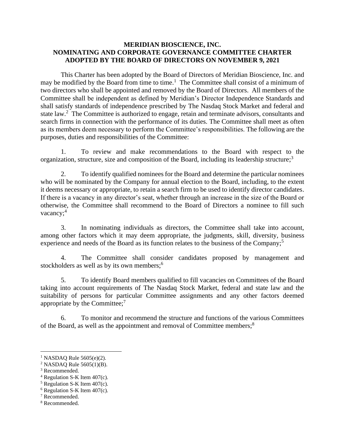## **MERIDIAN BIOSCIENCE, INC. NOMINATING AND CORPORATE GOVERNANCE COMMITTEE CHARTER ADOPTED BY THE BOARD OF DIRECTORS ON NOVEMBER 9, 2021**

This Charter has been adopted by the Board of Directors of Meridian Bioscience, Inc. and may be modified by the Board from time to time.<sup>1</sup> The Committee shall consist of a minimum of two directors who shall be appointed and removed by the Board of Directors. All members of the Committee shall be independent as defined by Meridian's Director Independence Standards and shall satisfy standards of independence prescribed by The Nasdaq Stock Market and federal and state law.<sup>2</sup> The Committee is authorized to engage, retain and terminate advisors, consultants and search firms in connection with the performance of its duties. The Committee shall meet as often as its members deem necessary to perform the Committee's responsibilities. The following are the purposes, duties and responsibilities of the Committee:

1. To review and make recommendations to the Board with respect to the organization, structure, size and composition of the Board, including its leadership structure;<sup>3</sup>

2. To identify qualified nominees for the Board and determine the particular nominees who will be nominated by the Company for annual election to the Board, including, to the extent it deems necessary or appropriate, to retain a search firm to be used to identify director candidates. If there is a vacancy in any director's seat, whether through an increase in the size of the Board or otherwise, the Committee shall recommend to the Board of Directors a nominee to fill such vacancy;<sup>4</sup>

3. In nominating individuals as directors, the Committee shall take into account, among other factors which it may deem appropriate, the judgments, skill, diversity, business experience and needs of the Board as its function relates to the business of the Company;<sup>5</sup>

4. The Committee shall consider candidates proposed by management and stockholders as well as by its own members;<sup>6</sup>

5. To identify Board members qualified to fill vacancies on Committees of the Board taking into account requirements of The Nasdaq Stock Market, federal and state law and the suitability of persons for particular Committee assignments and any other factors deemed appropriate by the Committee; $^7$ 

6. To monitor and recommend the structure and functions of the various Committees of the Board, as well as the appointment and removal of Committee members;<sup>8</sup>

<sup>&</sup>lt;sup>1</sup> NASDAQ Rule  $5605(e)(2)$ .

<sup>&</sup>lt;sup>2</sup> NASDAO Rule  $5605(1)(B)$ .

<sup>3</sup> Recommended.

 $4$  Regulation S-K Item 407(c).

 $<sup>5</sup>$  Regulation S-K Item 407(c).</sup>

 $6$  Regulation S-K Item 407(c).

<sup>7</sup> Recommended.

<sup>8</sup> Recommended.